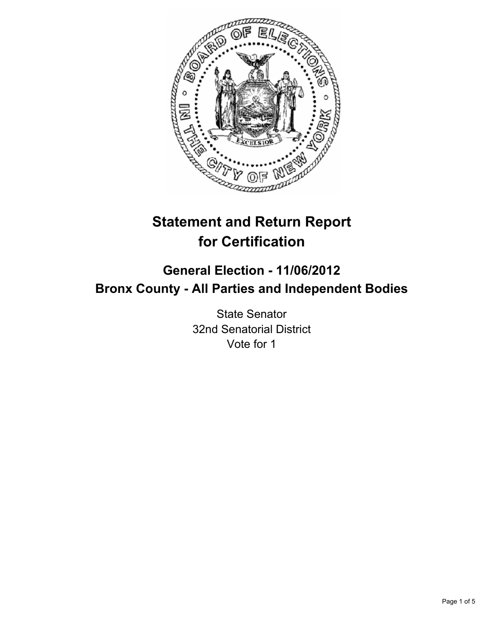

# **Statement and Return Report for Certification**

# **General Election - 11/06/2012 Bronx County - All Parties and Independent Bodies**

State Senator 32nd Senatorial District Vote for 1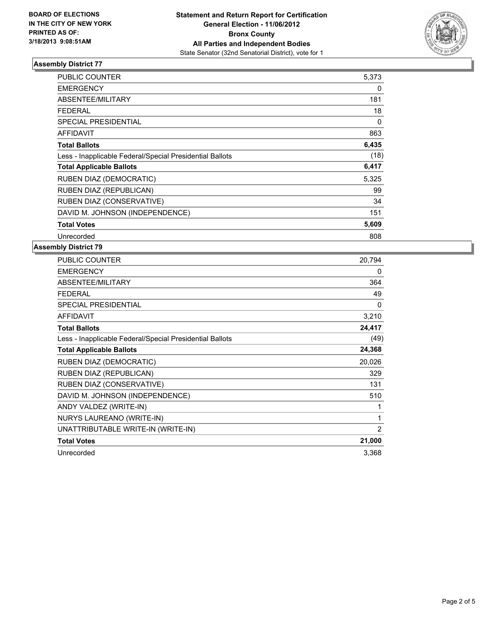

# **Assembly District 77**

| <b>PUBLIC COUNTER</b>                                    | 5,373 |
|----------------------------------------------------------|-------|
| <b>EMERGENCY</b>                                         | 0     |
| <b>ABSENTEE/MILITARY</b>                                 | 181   |
| FEDERAL                                                  | 18    |
| <b>SPECIAL PRESIDENTIAL</b>                              | 0     |
| <b>AFFIDAVIT</b>                                         | 863   |
| <b>Total Ballots</b>                                     | 6,435 |
| Less - Inapplicable Federal/Special Presidential Ballots | (18)  |
| <b>Total Applicable Ballots</b>                          | 6,417 |
| RUBEN DIAZ (DEMOCRATIC)                                  | 5,325 |
| <b>RUBEN DIAZ (REPUBLICAN)</b>                           | 99    |
| RUBEN DIAZ (CONSERVATIVE)                                | 34    |
| DAVID M. JOHNSON (INDEPENDENCE)                          | 151   |
| <b>Total Votes</b>                                       | 5,609 |
| Unrecorded                                               | 808   |

#### **Assembly District 79**

| PUBLIC COUNTER                                           | 20,794 |
|----------------------------------------------------------|--------|
| <b>EMERGENCY</b>                                         | 0      |
| ABSENTEE/MILITARY                                        | 364    |
| <b>FEDERAL</b>                                           | 49     |
| <b>SPECIAL PRESIDENTIAL</b>                              | 0      |
| <b>AFFIDAVIT</b>                                         | 3,210  |
| <b>Total Ballots</b>                                     | 24,417 |
| Less - Inapplicable Federal/Special Presidential Ballots | (49)   |
| <b>Total Applicable Ballots</b>                          | 24,368 |
| RUBEN DIAZ (DEMOCRATIC)                                  | 20,026 |
| RUBEN DIAZ (REPUBLICAN)                                  | 329    |
| RUBEN DIAZ (CONSERVATIVE)                                | 131    |
| DAVID M. JOHNSON (INDEPENDENCE)                          | 510    |
| ANDY VALDEZ (WRITE-IN)                                   | 1      |
| NURYS LAUREANO (WRITE-IN)                                | 1      |
| UNATTRIBUTABLE WRITE-IN (WRITE-IN)                       | 2      |
| <b>Total Votes</b>                                       | 21,000 |
| Unrecorded                                               | 3,368  |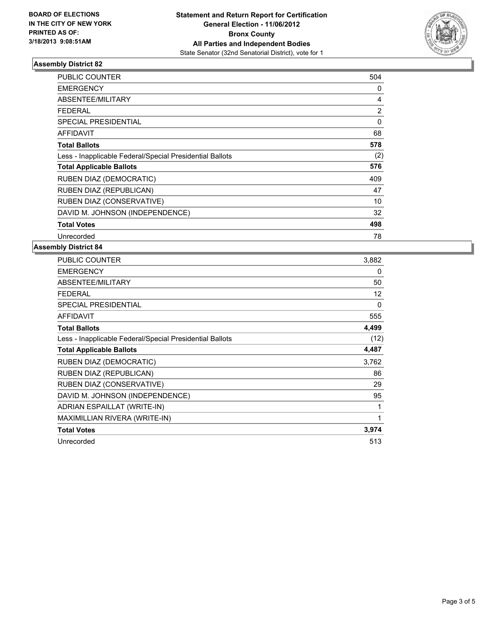

# **Assembly District 82**

| <b>PUBLIC COUNTER</b>                                    | 504            |
|----------------------------------------------------------|----------------|
| <b>EMERGENCY</b>                                         | 0              |
| <b>ABSENTEE/MILITARY</b>                                 | 4              |
| <b>FEDERAL</b>                                           | $\overline{2}$ |
| <b>SPECIAL PRESIDENTIAL</b>                              | $\Omega$       |
| AFFIDAVIT                                                | 68             |
| <b>Total Ballots</b>                                     | 578            |
| Less - Inapplicable Federal/Special Presidential Ballots | (2)            |
| <b>Total Applicable Ballots</b>                          | 576            |
| RUBEN DIAZ (DEMOCRATIC)                                  | 409            |
| RUBEN DIAZ (REPUBLICAN)                                  | 47             |
| RUBEN DIAZ (CONSERVATIVE)                                | 10             |
| DAVID M. JOHNSON (INDEPENDENCE)                          | 32             |
| <b>Total Votes</b>                                       | 498            |
| Unrecorded                                               | 78             |

### **Assembly District 84**

| <b>PUBLIC COUNTER</b>                                    | 3,882    |
|----------------------------------------------------------|----------|
| <b>EMERGENCY</b>                                         | 0        |
| ABSENTEE/MILITARY                                        | 50       |
| <b>FEDERAL</b>                                           | 12       |
| <b>SPECIAL PRESIDENTIAL</b>                              | $\Omega$ |
| <b>AFFIDAVIT</b>                                         | 555      |
| <b>Total Ballots</b>                                     | 4,499    |
| Less - Inapplicable Federal/Special Presidential Ballots | (12)     |
| <b>Total Applicable Ballots</b>                          | 4,487    |
| <b>RUBEN DIAZ (DEMOCRATIC)</b>                           | 3,762    |
| RUBEN DIAZ (REPUBLICAN)                                  | 86       |
| RUBEN DIAZ (CONSERVATIVE)                                | 29       |
| DAVID M. JOHNSON (INDEPENDENCE)                          | 95       |
| ADRIAN ESPAILLAT (WRITE-IN)                              | 1        |
| MAXIMILLIAN RIVERA (WRITE-IN)                            | 1        |
| <b>Total Votes</b>                                       | 3,974    |
| Unrecorded                                               | 513      |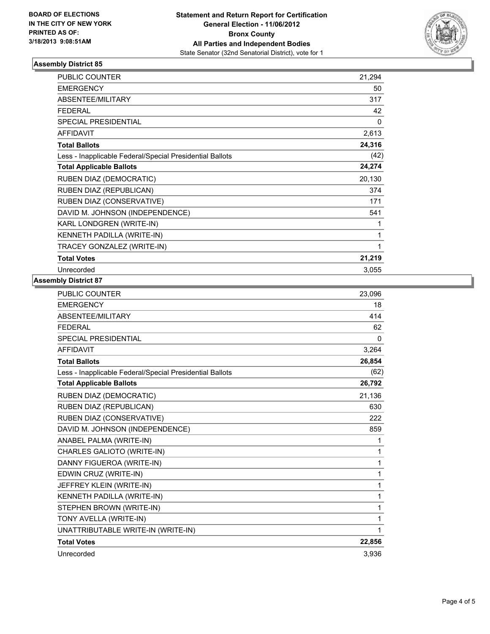

# **Assembly District 85**

| <b>PUBLIC COUNTER</b>                                    | 21,294 |
|----------------------------------------------------------|--------|
| <b>EMERGENCY</b>                                         | 50     |
| ABSENTEE/MILITARY                                        | 317    |
| <b>FEDERAL</b>                                           | 42     |
| <b>SPECIAL PRESIDENTIAL</b>                              | 0      |
| <b>AFFIDAVIT</b>                                         | 2,613  |
| <b>Total Ballots</b>                                     | 24,316 |
| Less - Inapplicable Federal/Special Presidential Ballots | (42)   |
| <b>Total Applicable Ballots</b>                          | 24,274 |
| RUBEN DIAZ (DEMOCRATIC)                                  | 20,130 |
| RUBEN DIAZ (REPUBLICAN)                                  | 374    |
| RUBEN DIAZ (CONSERVATIVE)                                | 171    |
| DAVID M. JOHNSON (INDEPENDENCE)                          | 541    |
| KARL LONDGREN (WRITE-IN)                                 | 1      |
| KENNETH PADILLA (WRITE-IN)                               | 1      |
| TRACEY GONZALEZ (WRITE-IN)                               | 1      |
| <b>Total Votes</b>                                       | 21,219 |
| Unrecorded                                               | 3,055  |

### **Assembly District 87**

| <b>PUBLIC COUNTER</b>                                    | 23,096   |
|----------------------------------------------------------|----------|
| <b>EMERGENCY</b>                                         | 18       |
| ABSENTEE/MILITARY                                        | 414      |
| <b>FEDERAL</b>                                           | 62       |
| <b>SPECIAL PRESIDENTIAL</b>                              | $\Omega$ |
| <b>AFFIDAVIT</b>                                         | 3,264    |
| <b>Total Ballots</b>                                     | 26,854   |
| Less - Inapplicable Federal/Special Presidential Ballots | (62)     |
| <b>Total Applicable Ballots</b>                          | 26,792   |
| RUBEN DIAZ (DEMOCRATIC)                                  | 21,136   |
| RUBEN DIAZ (REPUBLICAN)                                  | 630      |
| RUBEN DIAZ (CONSERVATIVE)                                | 222      |
| DAVID M. JOHNSON (INDEPENDENCE)                          | 859      |
| ANABEL PALMA (WRITE-IN)                                  | 1        |
| CHARLES GALIOTO (WRITE-IN)                               | 1        |
| DANNY FIGUEROA (WRITE-IN)                                | 1        |
| EDWIN CRUZ (WRITE-IN)                                    | 1        |
| JEFFREY KLEIN (WRITE-IN)                                 | 1        |
| KENNETH PADILLA (WRITE-IN)                               | 1        |
| STEPHEN BROWN (WRITE-IN)                                 | 1        |
| TONY AVELLA (WRITE-IN)                                   | 1        |
| UNATTRIBUTABLE WRITE-IN (WRITE-IN)                       | 1        |
| <b>Total Votes</b>                                       | 22,856   |
| Unrecorded                                               | 3,936    |